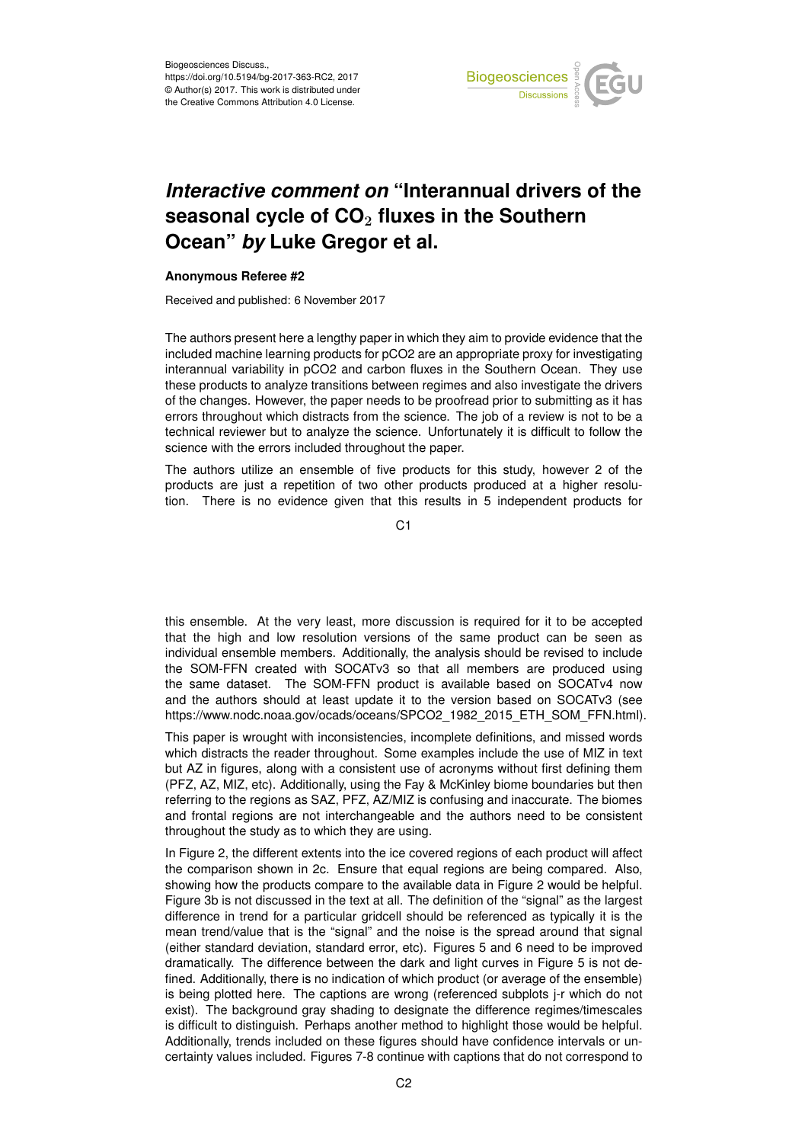

## *Interactive comment on* **"Interannual drivers of the seasonal cycle of CO**<sup>2</sup> **fluxes in the Southern Ocean"** *by* **Luke Gregor et al.**

## **Anonymous Referee #2**

Received and published: 6 November 2017

The authors present here a lengthy paper in which they aim to provide evidence that the included machine learning products for pCO2 are an appropriate proxy for investigating interannual variability in pCO2 and carbon fluxes in the Southern Ocean. They use these products to analyze transitions between regimes and also investigate the drivers of the changes. However, the paper needs to be proofread prior to submitting as it has errors throughout which distracts from the science. The job of a review is not to be a technical reviewer but to analyze the science. Unfortunately it is difficult to follow the science with the errors included throughout the paper.

The authors utilize an ensemble of five products for this study, however 2 of the products are just a repetition of two other products produced at a higher resolution. There is no evidence given that this results in 5 independent products for

C<sub>1</sub>

this ensemble. At the very least, more discussion is required for it to be accepted that the high and low resolution versions of the same product can be seen as individual ensemble members. Additionally, the analysis should be revised to include the SOM-FFN created with SOCATv3 so that all members are produced using the same dataset. The SOM-FFN product is available based on SOCATv4 now and the authors should at least update it to the version based on SOCATv3 (see https://www.nodc.noaa.gov/ocads/oceans/SPCO2\_1982\_2015\_ETH\_SOM\_FFN.html).

This paper is wrought with inconsistencies, incomplete definitions, and missed words which distracts the reader throughout. Some examples include the use of MIZ in text but AZ in figures, along with a consistent use of acronyms without first defining them (PFZ, AZ, MIZ, etc). Additionally, using the Fay & McKinley biome boundaries but then referring to the regions as SAZ, PFZ, AZ/MIZ is confusing and inaccurate. The biomes and frontal regions are not interchangeable and the authors need to be consistent throughout the study as to which they are using.

In Figure 2, the different extents into the ice covered regions of each product will affect the comparison shown in 2c. Ensure that equal regions are being compared. Also, showing how the products compare to the available data in Figure 2 would be helpful. Figure 3b is not discussed in the text at all. The definition of the "signal" as the largest difference in trend for a particular gridcell should be referenced as typically it is the mean trend/value that is the "signal" and the noise is the spread around that signal (either standard deviation, standard error, etc). Figures 5 and 6 need to be improved dramatically. The difference between the dark and light curves in Figure 5 is not defined. Additionally, there is no indication of which product (or average of the ensemble) is being plotted here. The captions are wrong (referenced subplots j-r which do not exist). The background gray shading to designate the difference regimes/timescales is difficult to distinguish. Perhaps another method to highlight those would be helpful. Additionally, trends included on these figures should have confidence intervals or uncertainty values included. Figures 7-8 continue with captions that do not correspond to